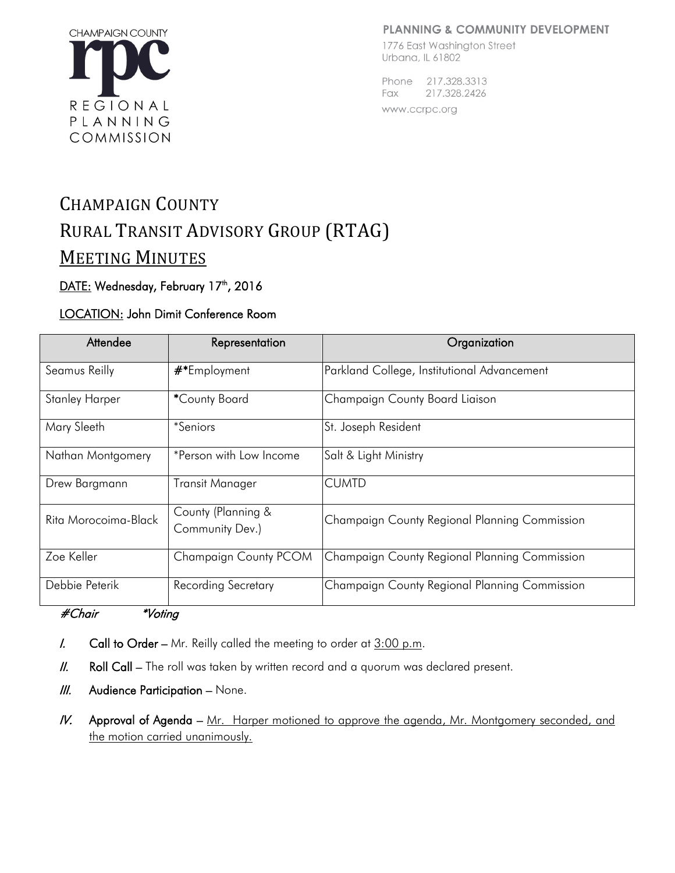#### **PLANNING & COMMUNITY DEVELOPMENT**



1776 East Washington Street Urbana, IL 61802

Phone 217.328.3313 Fax 217.328.2426

www.ccrpc.org

# CHAMPAIGN COUNTY RURAL TRANSIT ADVISORY GROUP (RTAG) MEETING MINUTES

# DATE: Wednesday, February 17<sup>th</sup>, 2016

# LOCATION: John Dimit Conference Room

| Attendee              | Representation                        | Organization                                  |
|-----------------------|---------------------------------------|-----------------------------------------------|
| Seamus Reilly         | #*Employment                          | Parkland College, Institutional Advancement   |
| <b>Stanley Harper</b> | *County Board                         | Champaign County Board Liaison                |
| Mary Sleeth           | <i>*Seniors</i>                       | St. Joseph Resident                           |
| Nathan Montgomery     | *Person with Low Income               | Salt & Light Ministry                         |
| Drew Bargmann         | <b>Transit Manager</b>                | <b>CUMTD</b>                                  |
| Rita Morocoima-Black  | County (Planning &<br>Community Dev.) | Champaign County Regional Planning Commission |
| Zoe Keller            | Champaign County PCOM                 | Champaign County Regional Planning Commission |
| Debbie Peterik        | Recording Secretary                   | Champaign County Regional Planning Commission |

# #Chair \*Voting

- I. Call to Order Mr. Reilly called the meeting to order at  $3:00$  p.m.
- II. Roll Call The roll was taken by written record and a quorum was declared present.
- $III.$  Audience Participation None.
- IV. Approval of Agenda Mr. Harper motioned to approve the agenda, Mr. Montgomery seconded, and the motion carried unanimously.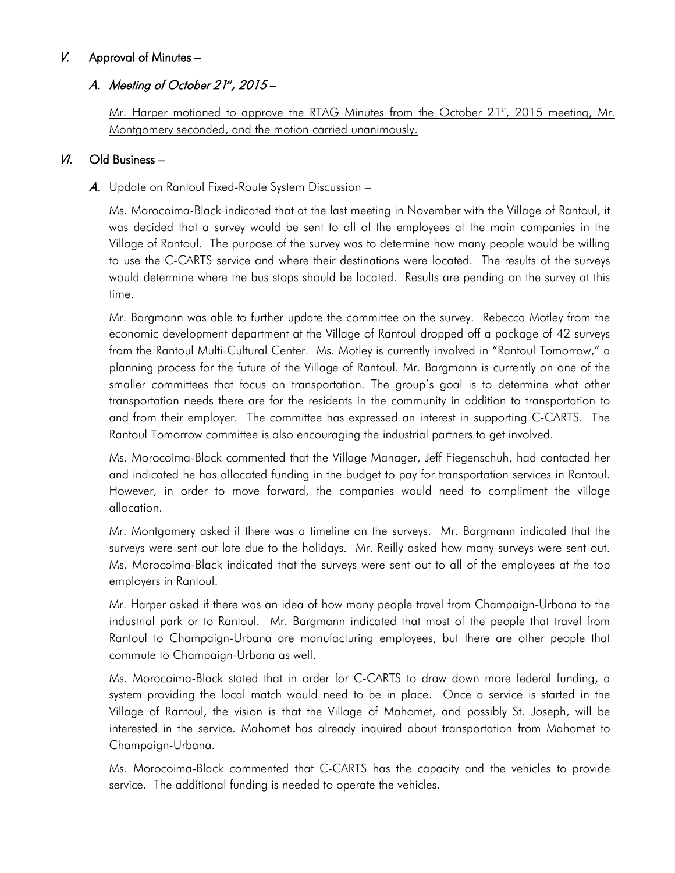# V. Approval of Minutes –

# A. Meeting of October 21st, 2015-

Mr. Harper motioned to approve the RTAG Minutes from the October 21<sup>st</sup>, 2015 meeting, Mr. Montgomery seconded, and the motion carried unanimously.

## $V/I$ . Old Business –

### A. Update on Rantoul Fixed-Route System Discussion –

Ms. Morocoima-Black indicated that at the last meeting in November with the Village of Rantoul, it was decided that a survey would be sent to all of the employees at the main companies in the Village of Rantoul. The purpose of the survey was to determine how many people would be willing to use the C-CARTS service and where their destinations were located. The results of the surveys would determine where the bus stops should be located. Results are pending on the survey at this time.

Mr. Bargmann was able to further update the committee on the survey. Rebecca Motley from the economic development department at the Village of Rantoul dropped off a package of 42 surveys from the Rantoul Multi-Cultural Center. Ms. Motley is currently involved in "Rantoul Tomorrow," a planning process for the future of the Village of Rantoul. Mr. Bargmann is currently on one of the smaller committees that focus on transportation. The group's goal is to determine what other transportation needs there are for the residents in the community in addition to transportation to and from their employer. The committee has expressed an interest in supporting C-CARTS. The Rantoul Tomorrow committee is also encouraging the industrial partners to get involved.

Ms. Morocoima-Black commented that the Village Manager, Jeff Fiegenschuh, had contacted her and indicated he has allocated funding in the budget to pay for transportation services in Rantoul. However, in order to move forward, the companies would need to compliment the village allocation.

Mr. Montgomery asked if there was a timeline on the surveys. Mr. Bargmann indicated that the surveys were sent out late due to the holidays. Mr. Reilly asked how many surveys were sent out. Ms. Morocoima-Black indicated that the surveys were sent out to all of the employees at the top employers in Rantoul.

Mr. Harper asked if there was an idea of how many people travel from Champaign-Urbana to the industrial park or to Rantoul. Mr. Bargmann indicated that most of the people that travel from Rantoul to Champaign-Urbana are manufacturing employees, but there are other people that commute to Champaign-Urbana as well.

Ms. Morocoima-Black stated that in order for C-CARTS to draw down more federal funding, a system providing the local match would need to be in place. Once a service is started in the Village of Rantoul, the vision is that the Village of Mahomet, and possibly St. Joseph, will be interested in the service. Mahomet has already inquired about transportation from Mahomet to Champaign-Urbana.

Ms. Morocoima-Black commented that C-CARTS has the capacity and the vehicles to provide service. The additional funding is needed to operate the vehicles.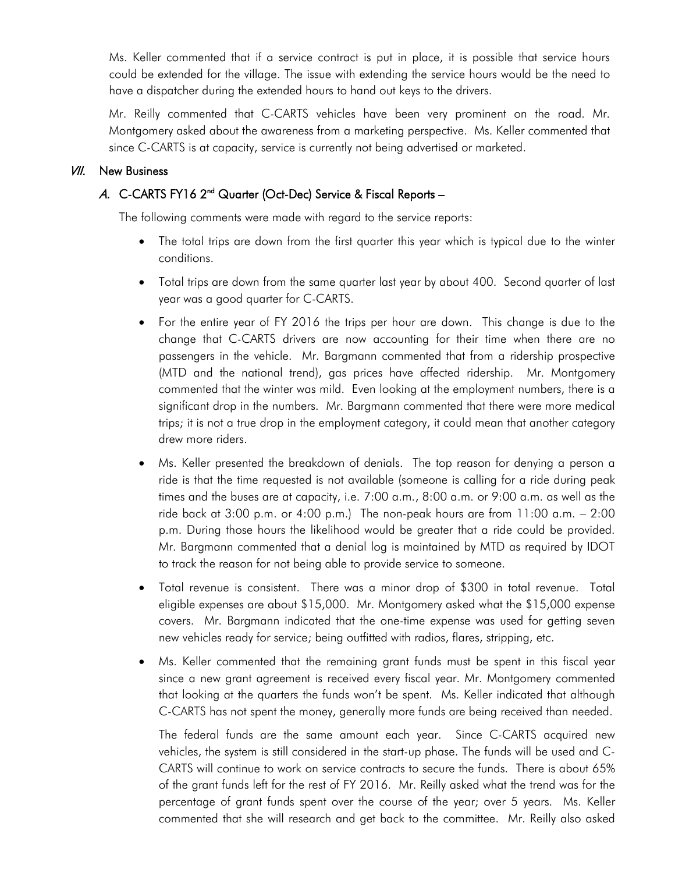Ms. Keller commented that if a service contract is put in place, it is possible that service hours could be extended for the village. The issue with extending the service hours would be the need to have a dispatcher during the extended hours to hand out keys to the drivers.

Mr. Reilly commented that C-CARTS vehicles have been very prominent on the road. Mr. Montgomery asked about the awareness from a marketing perspective. Ms. Keller commented that since C-CARTS is at capacity, service is currently not being advertised or marketed.

#### **VII.** New Business

# A. C-CARTS FY16 2<sup>nd</sup> Quarter (Oct-Dec) Service & Fiscal Reports -

The following comments were made with regard to the service reports:

- The total trips are down from the first quarter this year which is typical due to the winter conditions.
- Total trips are down from the same quarter last year by about 400. Second quarter of last year was a good quarter for C-CARTS.
- For the entire year of FY 2016 the trips per hour are down. This change is due to the change that C-CARTS drivers are now accounting for their time when there are no passengers in the vehicle. Mr. Bargmann commented that from a ridership prospective (MTD and the national trend), gas prices have affected ridership. Mr. Montgomery commented that the winter was mild. Even looking at the employment numbers, there is a significant drop in the numbers. Mr. Bargmann commented that there were more medical trips; it is not a true drop in the employment category, it could mean that another category drew more riders.
- Ms. Keller presented the breakdown of denials. The top reason for denying a person a ride is that the time requested is not available (someone is calling for a ride during peak times and the buses are at capacity, i.e. 7:00 a.m., 8:00 a.m. or 9:00 a.m. as well as the ride back at 3:00 p.m. or 4:00 p.m.) The non-peak hours are from 11:00 a.m. – 2:00 p.m. During those hours the likelihood would be greater that a ride could be provided. Mr. Bargmann commented that a denial log is maintained by MTD as required by IDOT to track the reason for not being able to provide service to someone.
- Total revenue is consistent. There was a minor drop of \$300 in total revenue. Total eligible expenses are about \$15,000. Mr. Montgomery asked what the \$15,000 expense covers. Mr. Bargmann indicated that the one-time expense was used for getting seven new vehicles ready for service; being outfitted with radios, flares, stripping, etc.
- Ms. Keller commented that the remaining grant funds must be spent in this fiscal year since a new grant agreement is received every fiscal year. Mr. Montgomery commented that looking at the quarters the funds won't be spent. Ms. Keller indicated that although C-CARTS has not spent the money, generally more funds are being received than needed.

The federal funds are the same amount each year. Since C-CARTS acquired new vehicles, the system is still considered in the start-up phase. The funds will be used and C-CARTS will continue to work on service contracts to secure the funds. There is about 65% of the grant funds left for the rest of FY 2016. Mr. Reilly asked what the trend was for the percentage of grant funds spent over the course of the year; over 5 years. Ms. Keller commented that she will research and get back to the committee. Mr. Reilly also asked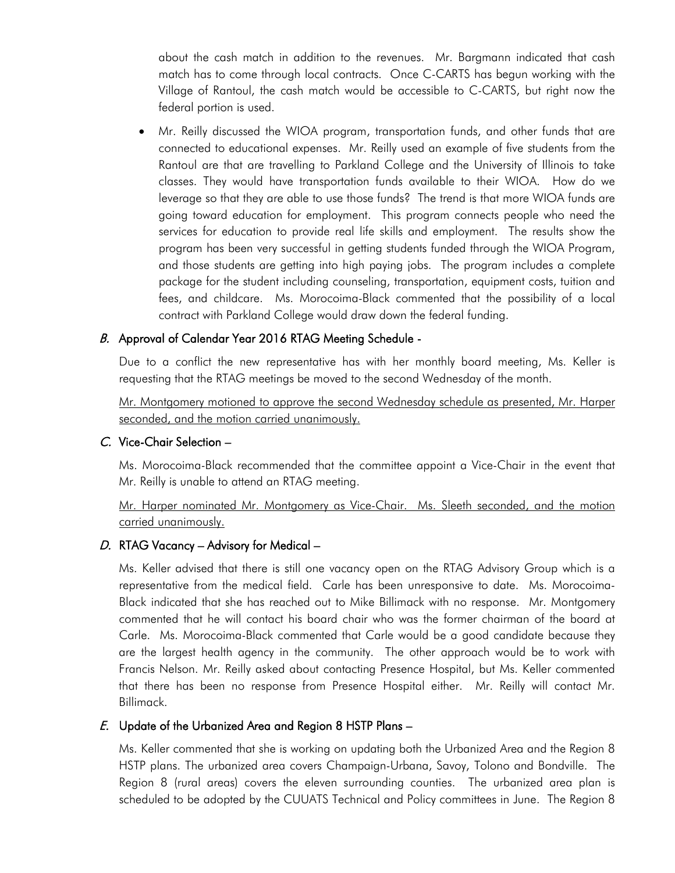about the cash match in addition to the revenues. Mr. Bargmann indicated that cash match has to come through local contracts. Once C-CARTS has begun working with the Village of Rantoul, the cash match would be accessible to C-CARTS, but right now the federal portion is used.

• Mr. Reilly discussed the WIOA program, transportation funds, and other funds that are connected to educational expenses. Mr. Reilly used an example of five students from the Rantoul are that are travelling to Parkland College and the University of Illinois to take classes. They would have transportation funds available to their WIOA. How do we leverage so that they are able to use those funds? The trend is that more WIOA funds are going toward education for employment. This program connects people who need the services for education to provide real life skills and employment. The results show the program has been very successful in getting students funded through the WIOA Program, and those students are getting into high paying jobs. The program includes a complete package for the student including counseling, transportation, equipment costs, tuition and fees, and childcare. Ms. Morocoima-Black commented that the possibility of a local contract with Parkland College would draw down the federal funding.

# B. Approval of Calendar Year 2016 RTAG Meeting Schedule -

Due to a conflict the new representative has with her monthly board meeting, Ms. Keller is requesting that the RTAG meetings be moved to the second Wednesday of the month.

Mr. Montgomery motioned to approve the second Wednesday schedule as presented, Mr. Harper seconded, and the motion carried unanimously.

# C. Vice-Chair Selection –

Ms. Morocoima-Black recommended that the committee appoint a Vice-Chair in the event that Mr. Reilly is unable to attend an RTAG meeting.

Mr. Harper nominated Mr. Montgomery as Vice-Chair. Ms. Sleeth seconded, and the motion carried unanimously.

# D. RTAG Vacancy - Advisory for Medical -

Ms. Keller advised that there is still one vacancy open on the RTAG Advisory Group which is a representative from the medical field. Carle has been unresponsive to date. Ms. Morocoima-Black indicated that she has reached out to Mike Billimack with no response. Mr. Montgomery commented that he will contact his board chair who was the former chairman of the board at Carle. Ms. Morocoima-Black commented that Carle would be a good candidate because they are the largest health agency in the community. The other approach would be to work with Francis Nelson. Mr. Reilly asked about contacting Presence Hospital, but Ms. Keller commented that there has been no response from Presence Hospital either. Mr. Reilly will contact Mr. Billimack.

# E. Update of the Urbanized Area and Region 8 HSTP Plans –

Ms. Keller commented that she is working on updating both the Urbanized Area and the Region 8 HSTP plans. The urbanized area covers Champaign-Urbana, Savoy, Tolono and Bondville. The Region 8 (rural areas) covers the eleven surrounding counties. The urbanized area plan is scheduled to be adopted by the CUUATS Technical and Policy committees in June. The Region 8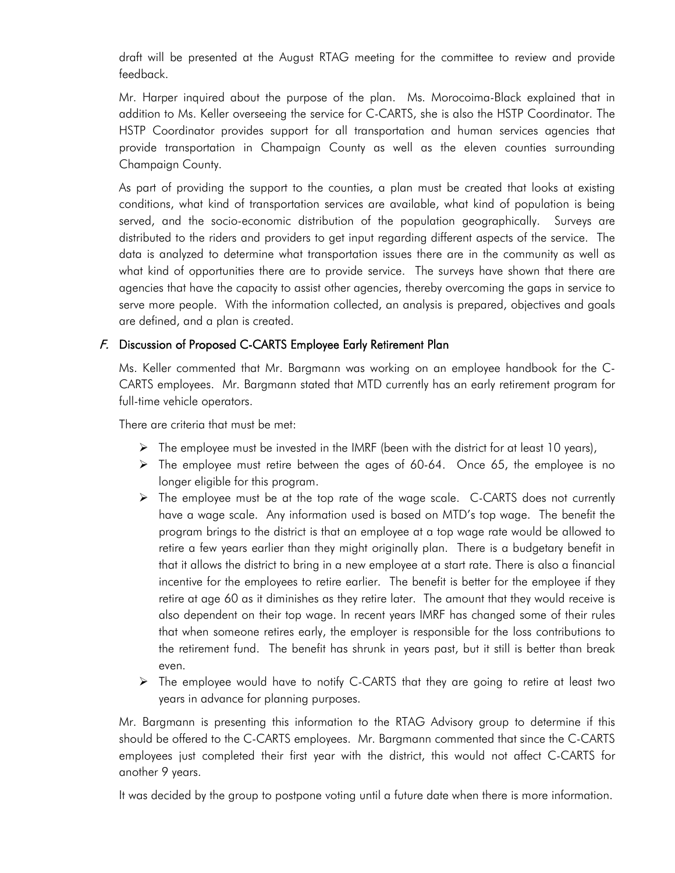draft will be presented at the August RTAG meeting for the committee to review and provide feedback.

Mr. Harper inquired about the purpose of the plan. Ms. Morocoima-Black explained that in addition to Ms. Keller overseeing the service for C-CARTS, she is also the HSTP Coordinator. The HSTP Coordinator provides support for all transportation and human services agencies that provide transportation in Champaign County as well as the eleven counties surrounding Champaign County.

As part of providing the support to the counties, a plan must be created that looks at existing conditions, what kind of transportation services are available, what kind of population is being served, and the socio-economic distribution of the population geographically. Surveys are distributed to the riders and providers to get input regarding different aspects of the service. The data is analyzed to determine what transportation issues there are in the community as well as what kind of opportunities there are to provide service. The surveys have shown that there are agencies that have the capacity to assist other agencies, thereby overcoming the gaps in service to serve more people. With the information collected, an analysis is prepared, objectives and goals are defined, and a plan is created.

### F. Discussion of Proposed C-CARTS Employee Early Retirement Plan

Ms. Keller commented that Mr. Bargmann was working on an employee handbook for the C-CARTS employees. Mr. Bargmann stated that MTD currently has an early retirement program for full-time vehicle operators.

There are criteria that must be met:

- $\triangleright$  The employee must be invested in the IMRF (been with the district for at least 10 years),
- $\triangleright$  The employee must retire between the ages of 60-64. Once 65, the employee is no longer eligible for this program.
- $\triangleright$  The employee must be at the top rate of the wage scale. C-CARTS does not currently have a wage scale. Any information used is based on MTD's top wage. The benefit the program brings to the district is that an employee at a top wage rate would be allowed to retire a few years earlier than they might originally plan. There is a budgetary benefit in that it allows the district to bring in a new employee at a start rate. There is also a financial incentive for the employees to retire earlier. The benefit is better for the employee if they retire at age 60 as it diminishes as they retire later. The amount that they would receive is also dependent on their top wage. In recent years IMRF has changed some of their rules that when someone retires early, the employer is responsible for the loss contributions to the retirement fund. The benefit has shrunk in years past, but it still is better than break even.
- > The employee would have to notify C-CARTS that they are going to retire at least two years in advance for planning purposes.

Mr. Bargmann is presenting this information to the RTAG Advisory group to determine if this should be offered to the C-CARTS employees. Mr. Bargmann commented that since the C-CARTS employees just completed their first year with the district, this would not affect C-CARTS for another 9 years.

It was decided by the group to postpone voting until a future date when there is more information.